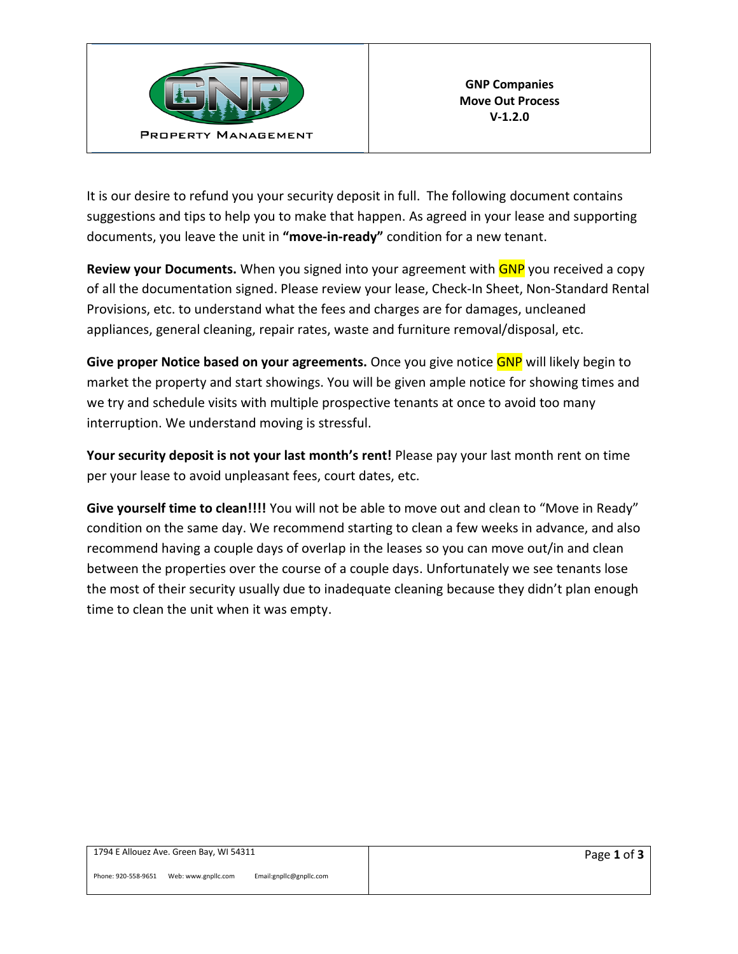

It is our desire to refund you your security deposit in full. The following document contains suggestions and tips to help you to make that happen. As agreed in your lease and supporting documents, you leave the unit in **"move-in-ready"** condition for a new tenant.

**Review your Documents.** When you signed into your agreement with **GNP** you received a copy of all the documentation signed. Please review your lease, Check-In Sheet, Non-Standard Rental Provisions, etc. to understand what the fees and charges are for damages, uncleaned appliances, general cleaning, repair rates, waste and furniture removal/disposal, etc.

**Give proper Notice based on your agreements.** Once you give notice GNP will likely begin to market the property and start showings. You will be given ample notice for showing times and we try and schedule visits with multiple prospective tenants at once to avoid too many interruption. We understand moving is stressful.

**Your security deposit is not your last month's rent!** Please pay your last month rent on time per your lease to avoid unpleasant fees, court dates, etc.

**Give yourself time to clean!!!!** You will not be able to move out and clean to "Move in Ready" condition on the same day. We recommend starting to clean a few weeks in advance, and also recommend having a couple days of overlap in the leases so you can move out/in and clean between the properties over the course of a couple days. Unfortunately we see tenants lose the most of their security usually due to inadequate cleaning because they didn't plan enough time to clean the unit when it was empty.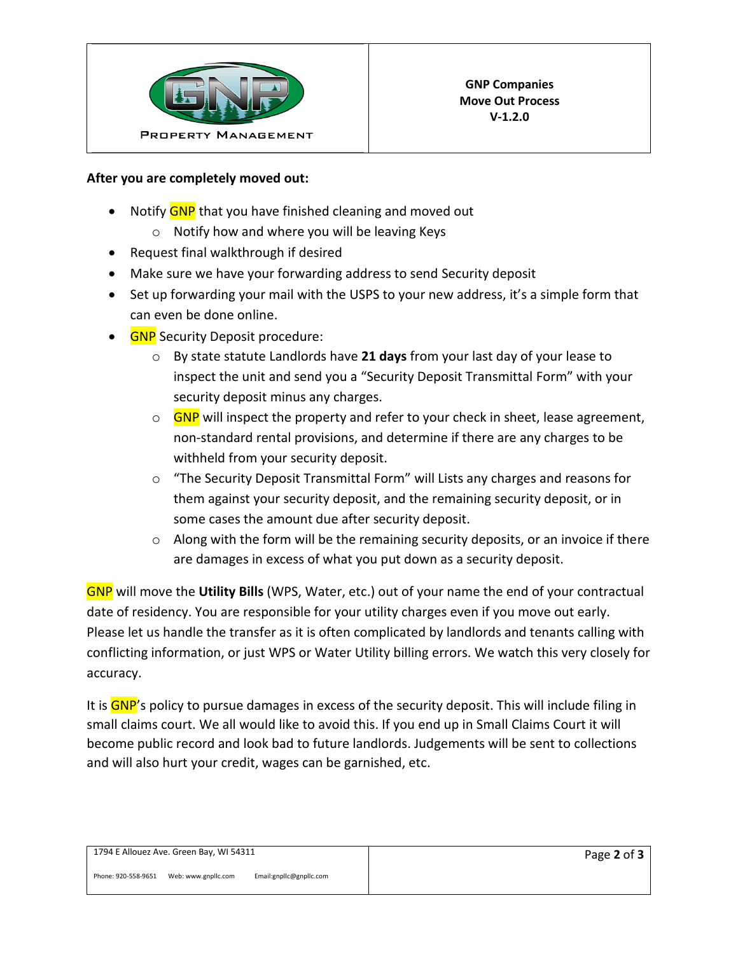

## **After you are completely moved out:**

- Notify GNP that you have finished cleaning and moved out
	- o Notify how and where you will be leaving Keys
- Request final walkthrough if desired
- Make sure we have your forwarding address to send Security deposit
- Set up forwarding your mail with the USPS to your new address, it's a simple form that can even be done online.
- GNP Security Deposit procedure:
	- o By state statute Landlords have **21 days** from your last day of your lease to inspect the unit and send you a "Security Deposit Transmittal Form" with your security deposit minus any charges.
	- $\circ$  GNP will inspect the property and refer to your check in sheet, lease agreement, non-standard rental provisions, and determine if there are any charges to be withheld from your security deposit.
	- o "The Security Deposit Transmittal Form" will Lists any charges and reasons for them against your security deposit, and the remaining security deposit, or in some cases the amount due after security deposit.
	- $\circ$  Along with the form will be the remaining security deposits, or an invoice if there are damages in excess of what you put down as a security deposit.

GNP will move the **Utility Bills** (WPS, Water, etc.) out of your name the end of your contractual date of residency. You are responsible for your utility charges even if you move out early. Please let us handle the transfer as it is often complicated by landlords and tenants calling with conflicting information, or just WPS or Water Utility billing errors. We watch this very closely for accuracy.

It is GNP's policy to pursue damages in excess of the security deposit. This will include filing in small claims court. We all would like to avoid this. If you end up in Small Claims Court it will become public record and look bad to future landlords. Judgements will be sent to collections and will also hurt your credit, wages can be garnished, etc.

Phone: 920-558-9651 Web: www.gnpllc.com Email:gnpllc@gnpllc.com